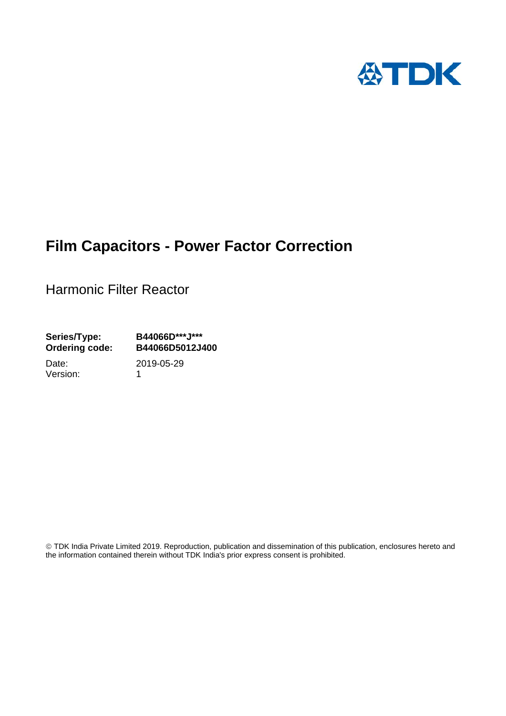

# **Film Capacitors - Power Factor Correction**

Harmonic Filter Reactor

**Series/Type: B44066D\*\*\*J\*\*\* Ordering code: B44066D5012J400**

Version: 1

Date: 2019-05-29

 TDK India Private Limited 2019. Reproduction, publication and dissemination of this publication, enclosures hereto and the information contained therein without TDK India's prior express consent is prohibited.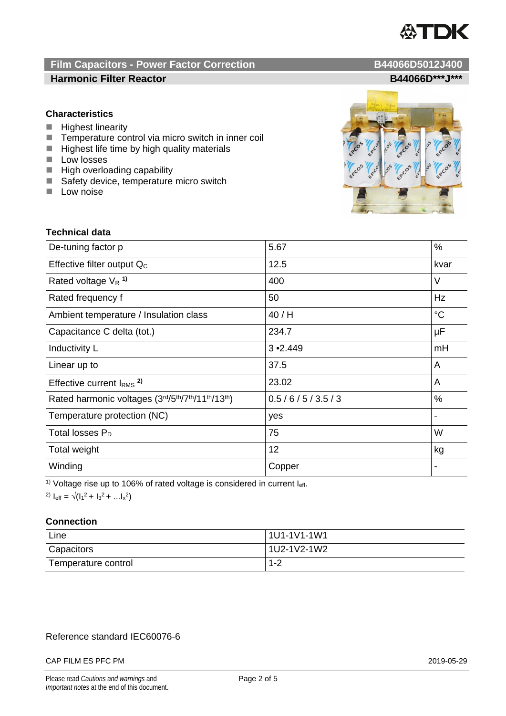

# **Film Capacitors - Power Factor Correction B44066D5012J400**

# **Harmonic Filter Reactor B44066D\*\*\*J\*\*\***

# **Characteristics**

- $\blacksquare$  Highest linearity
- $\blacksquare$  Temperature control via micro switch in inner coil<br> $\blacksquare$  Highest life time by high quality materials
- Highest life time by high quality materials
- $\Box$  Low losses
- $\blacksquare$  High overloading capability
- Safety device, temperature micro switch
- $\blacksquare$  Low noise



### **Technical data**

| De-tuning factor p                              | 5.67            | %               |
|-------------------------------------------------|-----------------|-----------------|
| Effective filter output $Q_C$                   | 12.5            | kvar            |
| Rated voltage $V_R$ <sup>1)</sup>               | 400             | V               |
| Rated frequency f                               | 50              | Hz              |
| Ambient temperature / Insulation class          | 40/H            | $\rm ^{\circ}C$ |
| Capacitance C delta (tot.)                      | 234.7           | μF              |
| Inductivity L                                   | $3 \cdot 2.449$ | mH              |
| Linear up to                                    | 37.5            | A               |
| Effective current $IRMS$ <sup>2)</sup>          | 23.02           | A               |
| Rated harmonic voltages (3rd/5th/7th/11th/13th) | 0.5/6/5/3.5/3   | $\%$            |
| Temperature protection (NC)                     | yes             |                 |
| Total losses $P_D$                              | 75              | W               |
| Total weight                                    | 12              | kg              |
| Winding                                         | Copper          |                 |

<sup>1)</sup> Voltage rise up to 106% of rated voltage is considered in current  $I_{\text{eff}}$ .

<sup>2)</sup>  $I_{eff} = \sqrt{(I_1^2 + I_3^2 + ... I_x^2)}$ 

#### **Connection**

| Line                | 1U1-1V1-1W1 |
|---------------------|-------------|
| Capacitors          | 1U2-1V2-1W2 |
| Temperature control | $1 - 2$     |

# Reference standard IEC60076-6

#### CAP FILM ES PFC PM 2019-05-29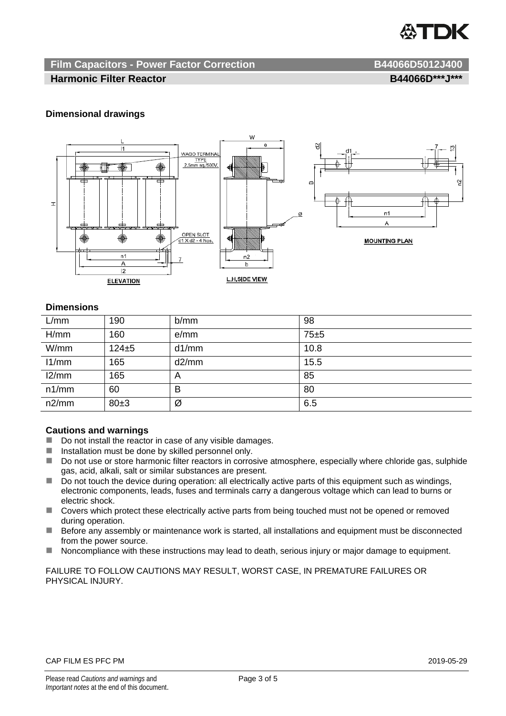

# **Film Capacitors - Power Factor Correction B44066D5012J400**

#### **Harmonic Filter Reactor B44066D\*\*\*J\*\*\***

# **Dimensional drawings**



#### **Dimensions**

| L/mm  | 190        | b/mm  | 98   |
|-------|------------|-------|------|
| H/mm  | 160        | e/mm  | 75±5 |
| W/mm  | $124\pm 5$ | d1/mm | 10.8 |
| 11/mm | 165        | d2/mm | 15.5 |
| 12/mm | 165        | A     | 85   |
| n1/mm | 60         | B     | 80   |
| n2/mm | 80±3       | Ø     | 6.5  |

#### **Cautions and warnings**

- Do not install the reactor in case of any visible damages.
- $\blacksquare$  Installation must be done by skilled personnel only.
- Do not use or store harmonic filter reactors in corrosive atmosphere, especially where chloride gas, sulphide gas, acid, alkali, salt or similar substances are present.
- $\Box$  Do not touch the device during operation: all electrically active parts of this equipment such as windings, electronic components, leads, fuses and terminals carry a dangerous voltage which can lead to burns or electric shock.
- Covers which protect these electrically active parts from being touched must not be opened or removed during operation.
- Before any assembly or maintenance work is started, all installations and equipment must be disconnected from the power source.
- Noncompliance with these instructions may lead to death, serious injury or major damage to equipment.

FAILURE TO FOLLOW CAUTIONS MAY RESULT, WORST CASE, IN PREMATURE FAILURES OR PHYSICAL INJURY.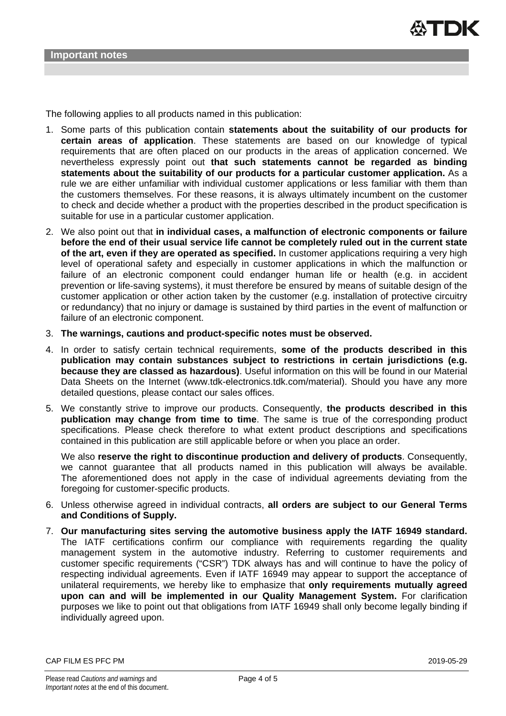The following applies to all products named in this publication:

- 1. Some parts of this publication contain **statements about the suitability of our products for certain areas of application**. These statements are based on our knowledge of typical requirements that are often placed on our products in the areas of application concerned. We nevertheless expressly point out **that such statements cannot be regarded as binding statements about the suitability of our products for a particular customer application.** As a rule we are either unfamiliar with individual customer applications or less familiar with them than the customers themselves. For these reasons, it is always ultimately incumbent on the customer to check and decide whether a product with the properties described in the product specification is suitable for use in a particular customer application.
- 2. We also point out that **in individual cases, a malfunction of electronic components or failure before the end of their usual service life cannot be completely ruled out in the current state of the art, even if they are operated as specified.** In customer applications requiring a very high level of operational safety and especially in customer applications in which the malfunction or failure of an electronic component could endanger human life or health (e.g. in accident prevention or life-saving systems), it must therefore be ensured by means of suitable design of the customer application or other action taken by the customer (e.g. installation of protective circuitry or redundancy) that no injury or damage is sustained by third parties in the event of malfunction or failure of an electronic component.
- 3. **The warnings, cautions and product-specific notes must be observed.**
- 4. In order to satisfy certain technical requirements, **some of the products described in this publication may contain substances subject to restrictions in certain jurisdictions (e.g. because they are classed as hazardous)**. Useful information on this will be found in our Material Data Sheets on the Internet (www.tdk-electronics.tdk.com/material). Should you have any more detailed questions, please contact our sales offices.
- 5. We constantly strive to improve our products. Consequently, **the products described in this publication may change from time to time**. The same is true of the corresponding product specifications. Please check therefore to what extent product descriptions and specifications contained in this publication are still applicable before or when you place an order.

We also **reserve the right to discontinue production and delivery of products**. Consequently, we cannot guarantee that all products named in this publication will always be available. The aforementioned does not apply in the case of individual agreements deviating from the foregoing for customer-specific products.

- 6. Unless otherwise agreed in individual contracts, **all orders are subject to our General Terms and Conditions of Supply.**
- 7. **Our manufacturing sites serving the automotive business apply the IATF 16949 standard.** The IATF certifications confirm our compliance with requirements regarding the quality management system in the automotive industry. Referring to customer requirements and customer specific requirements ("CSR") TDK always has and will continue to have the policy of respecting individual agreements. Even if IATF 16949 may appear to support the acceptance of unilateral requirements, we hereby like to emphasize that **only requirements mutually agreed upon can and will be implemented in our Quality Management System.** For clarification purposes we like to point out that obligations from IATF 16949 shall only become legally binding if individually agreed upon.

CAP FILM ES PFC PM 2019-05-29